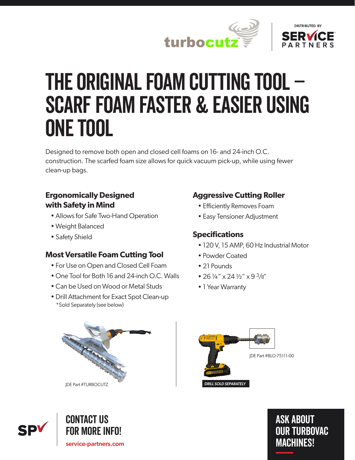



# The original foam cutting tool – Scarf foam faster & easier using one tool

Designed to remove both open and closed cell foams on 16- and 24-inch O.C. construction. The scarfed foam size allows for quick vacuum pick-up, while using fewer clean-up bags.

### **Ergonomically Designed with Safety in Mind**

- Allows for Safe Two-Hand Operation
- Weight Balanced
- Safety Shield

## **Most Versatile Foam Cutting Tool**

- For Use on Open and Closed Cell Foam
- One Tool for Both 16 and 24-inch O.C. Walls
- Can be Used on Wood or Metal Studs
- Drill Attachment for Exact Spot Clean-up \*Sold Separately (see below)

## **Aggressive Cutting Roller**

- Efficiently Removes Foam
- Easy Tensioner Adjustment

# **Specifications**

- 120 V, 15 AMP, 60 Hz Industrial Motor
- Powder Coated
- 21 Pounds
- 26 ¼" x 24 ½" x 9 3/8"
- 1 Year Warranty